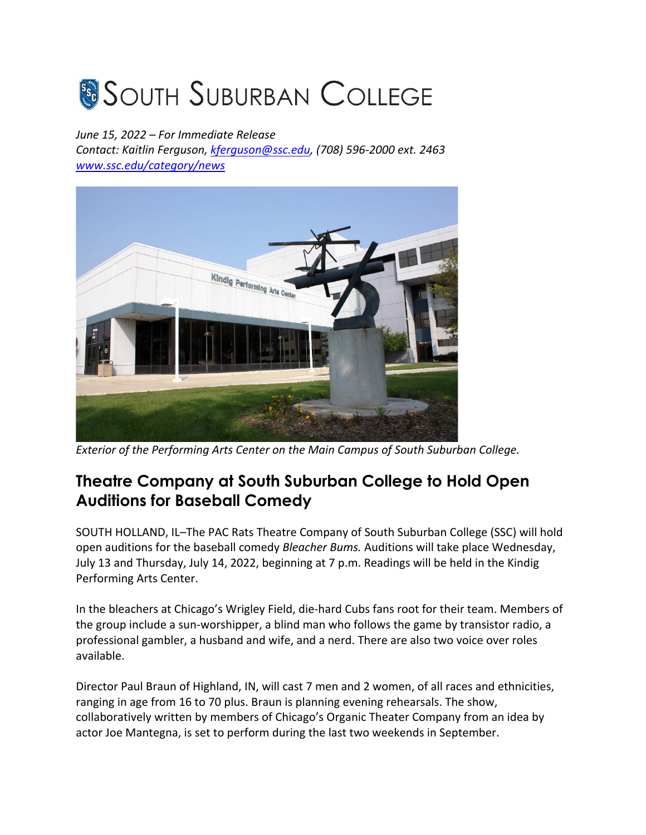## **SOUTH SUBURBAN COLLEGE**

## *June 15, 2022 – For Immediate Release*

*Contact: Kaitlin Ferguson, kferguson@ssc.edu, (708) 596-2000 ext. 2463 www.ssc.edu/category/news*



*Exterior of the Performing Arts Center on the Main Campus of South Suburban College.*

## **Theatre Company at South Suburban College to Hold Open Auditions for Baseball Comedy**

SOUTH HOLLAND, IL–The PAC Rats Theatre Company of South Suburban College (SSC) will hold open auditions for the baseball comedy *Bleacher Bums.* Auditions will take place Wednesday, July 13 and Thursday, July 14, 2022, beginning at 7 p.m. Readings will be held in the Kindig Performing Arts Center.

In the bleachers at Chicago's Wrigley Field, die-hard Cubs fans root for their team. Members of the group include a sun-worshipper, a blind man who follows the game by transistor radio, a professional gambler, a husband and wife, and a nerd. There are also two voice over roles available.

Director Paul Braun of Highland, IN, will cast 7 men and 2 women, of all races and ethnicities, ranging in age from 16 to 70 plus. Braun is planning evening rehearsals. The show, collaboratively written by members of Chicago's Organic Theater Company from an idea by actor Joe Mantegna, is set to perform during the last two weekends in September.